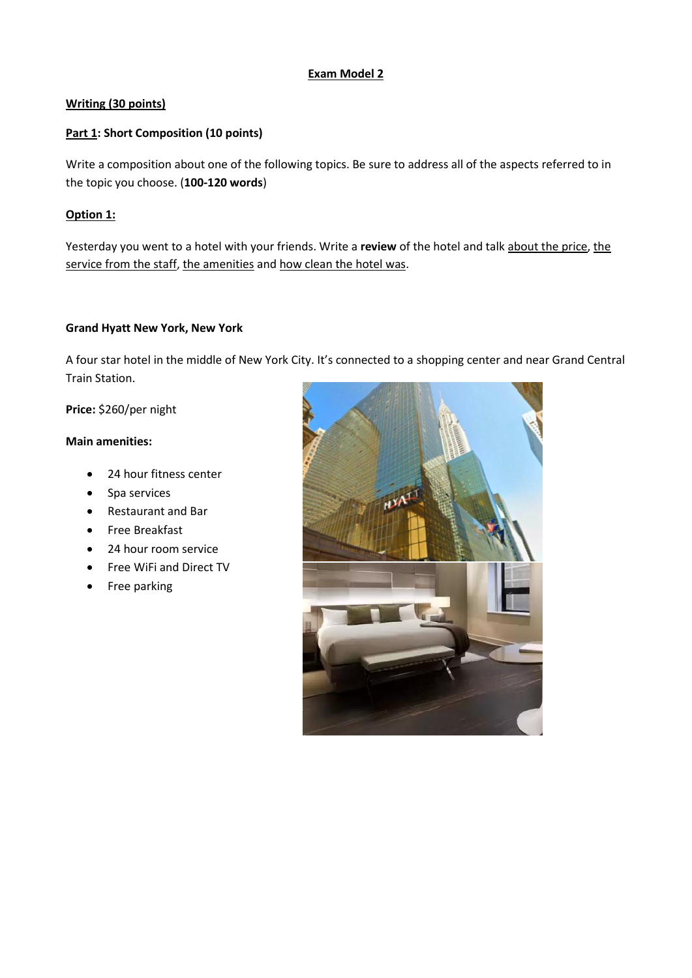# **Exam Model 2**

# **Writing (30 points)**

# **Part 1: Short Composition (10 points)**

Write a composition about one of the following topics. Be sure to address all of the aspects referred to in the topic you choose. (**100-120 words**)

# **Option 1:**

Yesterday you went to a hotel with your friends. Write a **review** of the hotel and talk about the price, the service from the staff, the amenities and how clean the hotel was.

### **Grand Hyatt New York, New York**

A four star hotel in the middle of New York City. It's connected to a shopping center and near Grand Central Train Station.

**Price:** \$260/per night

### **Main amenities:**

- 24 hour fitness center
- Spa services
- Restaurant and Bar
- Free Breakfast
- 24 hour room service
- Free WiFi and Direct TV
- Free parking

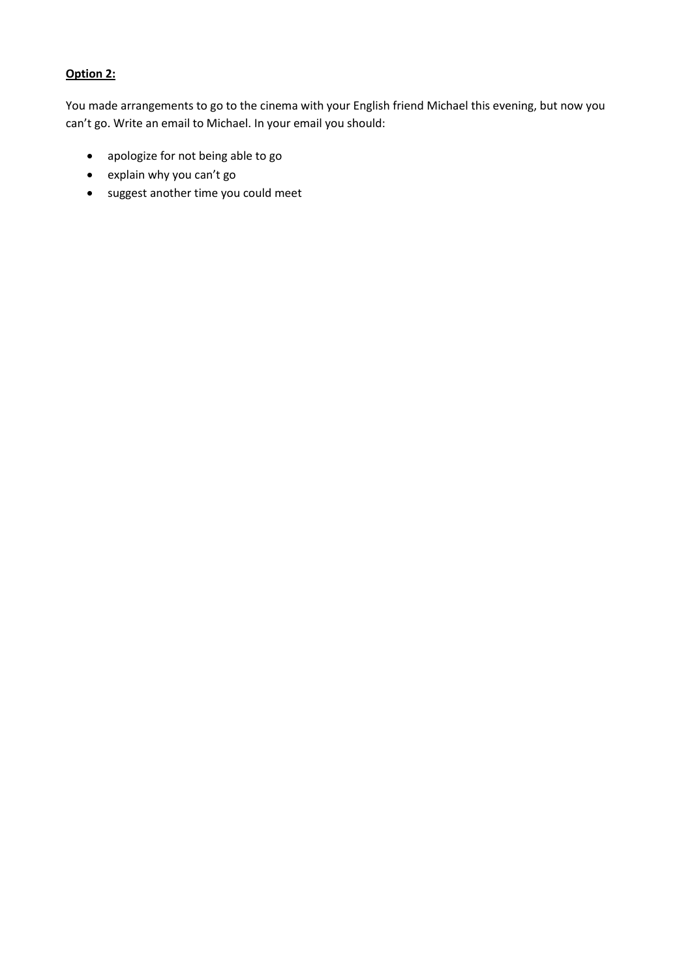# **Option 2:**

You made arrangements to go to the cinema with your English friend Michael this evening, but now you can't go. Write an email to Michael. In your email you should:

- apologize for not being able to go
- explain why you can't go
- suggest another time you could meet